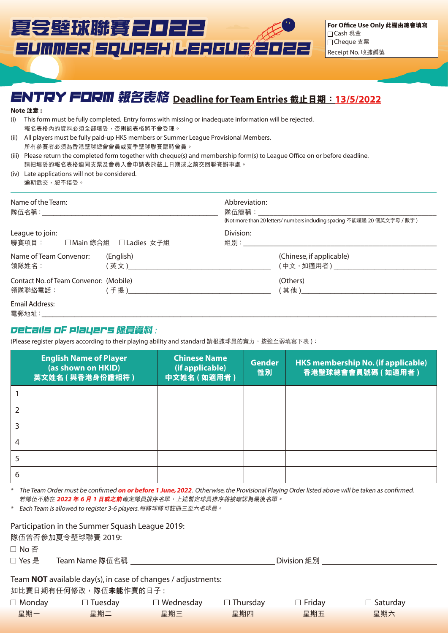# 夏令壁球聯賽2022 SUMMER SQUASH LEAGUE ŽOZZ

**For Office Use Only 此欄由總會填寫** Cash 現金 □Cheque 支票 Receipt No. 收據編號

## ENTRY FORM **報名表格 Deadline for Team Entries 截止日期:13/5/2022**

#### **Note 注意 :**

- (i) This form must be fully completed. Entry forms with missing or inadequate information will be rejected. 報名表格內的資料必須全部填妥,否則該表格將不會受理。
- (ii) All players must be fully paid-up HKS members or Summer League Provisional Members. 所有參賽者必須為香港壁球總會會員或夏季壁球聯賽臨時會員。
- (iii) Please return the completed form together with cheque(s) and membership form(s) to League Office on or before deadline. 請把填妥的報名表格連同支票及會員入會申請表於截止日期或之前交回聯賽辦事處。
- (iv) Late applications will not be considered. 逾期遞交,恕不接受。

| Name of the Team:<br>「隊伍名稱: そうしょう しょうしょう しんこうしょう しんしゅう しんしゅう はんしゅう |                                                         | Abbreviation:<br>隊伍簡稱: しんしんしゃ | (Not more than 20 letters/ numbers including spacing 不能超過 20 個英文字母 / 數字) |
|--------------------------------------------------------------------|---------------------------------------------------------|-------------------------------|--------------------------------------------------------------------------|
| League to join:<br>■聯賽項目: コ Main 綜合組 □ Ladies 女子組                  |                                                         | Division:                     | 組別: そうしゃ しんしょう しんしょう しんしょう おおし しんしゅう                                     |
| Name of Team Convenor:<br>領隊姓名:                                    | (English)<br>( 英 文 ) いっかん いっかん いっかん かんしょう かんしょう しんこうしょう |                               | (Chinese, if applicable)<br>( 中文,如適用者 ) しんじょう しんしょう しんしょう                |
| Contact No. of Team Convenor: (Mobile)<br>領隊聯絡電話:                  | ( 手 提 ) コンファンス アイスト しんしょう しんしょう しんしょう                   |                               | (Others)<br>(其他)______________                                           |
| Email Address:<br>電郵地址:                                            |                                                         |                               |                                                                          |

#### Details of Players **隊員資料** :

(Please register players according to their playing ability and standard 請根據球員的實力,按強至弱填寫下表):

| <b>English Name of Player</b><br>(as shown on HKID)<br>英文姓名 (與香港身份證相符) | <b>Chinese Name</b><br>(if applicable)<br>中文姓名 (如適用者) | <b>Gender</b><br>性別 | <b>HKS membership No. (if applicable)</b><br>香港壁球總會會員號碼 (如適用者) |
|------------------------------------------------------------------------|-------------------------------------------------------|---------------------|----------------------------------------------------------------|
|                                                                        |                                                       |                     |                                                                |
|                                                                        |                                                       |                     |                                                                |
|                                                                        |                                                       |                     |                                                                |
|                                                                        |                                                       |                     |                                                                |
|                                                                        |                                                       |                     |                                                                |
| ь                                                                      |                                                       |                     |                                                                |

\* The Team Order must be confirmed **on or before 1 June, 2022**. Otherwise, the Provisional Playing Order listed above will be taken as confirmed. 若隊伍不能在 **2022 年 6 月 1 日或之前**確定隊員排序名單,上述暫定球員排序將被確認為最後名單。

\* Each Team is allowed to register 3-6 players. 每隊球隊可註冊三至六名球員。

| Participation in the Summer Squash League 2019: |
|-------------------------------------------------|
|-------------------------------------------------|

隊伍曾否參加夏令壁球聯賽 2019:

□ No 否

Yes 是 Team Name 隊伍名稱 Division 組別

Team **NOT** available day(s), in case of changes / adjustments:

如比賽日期有任何修改,隊伍**未能**作賽的日子:

| $\Box$ Monday | $\Box$ Tuesday | $\Box$ Wednesday | $\Box$ Thursday | $\Box$ Friday | $\Box$ Saturday |
|---------------|----------------|------------------|-----------------|---------------|-----------------|
| 星期一           | 星期二            | 星期三              | 星期四             | 星期五           | 星期六             |